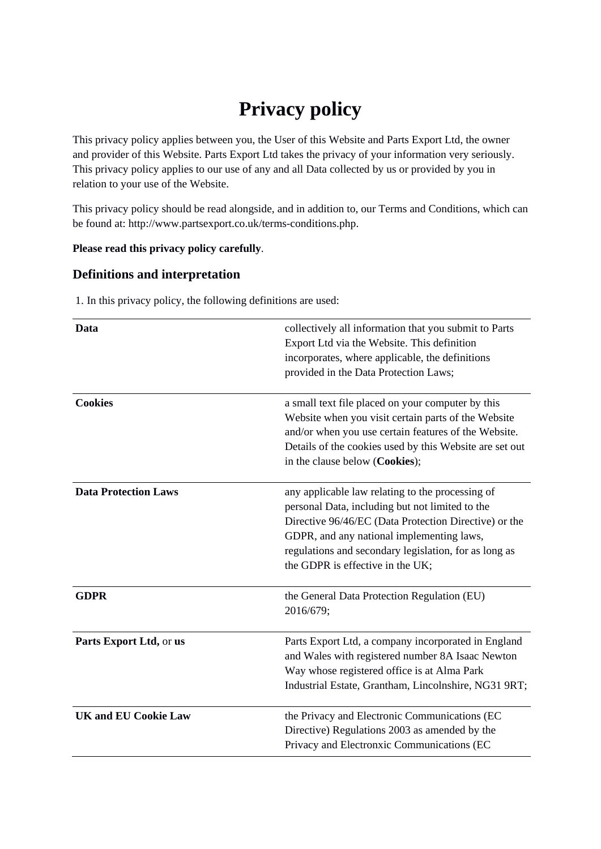# **Privacy policy**

This privacy policy applies between you, the User of this Website and Parts Export Ltd, the owner and provider of this Website. Parts Export Ltd takes the privacy of your information very seriously. This privacy policy applies to our use of any and all Data collected by us or provided by you in relation to your use of the Website.

This privacy policy should be read alongside, and in addition to, our Terms and Conditions, which can be found at: http://www.partsexport.co.uk/terms-conditions.php.

#### **Please read this privacy policy carefully**.

## **Definitions and interpretation**

1. In this privacy policy, the following definitions are used:

| Data                        | collectively all information that you submit to Parts<br>Export Ltd via the Website. This definition<br>incorporates, where applicable, the definitions<br>provided in the Data Protection Laws;                                                                                                       |
|-----------------------------|--------------------------------------------------------------------------------------------------------------------------------------------------------------------------------------------------------------------------------------------------------------------------------------------------------|
| <b>Cookies</b>              | a small text file placed on your computer by this<br>Website when you visit certain parts of the Website<br>and/or when you use certain features of the Website.<br>Details of the cookies used by this Website are set out<br>in the clause below (Cookies);                                          |
| <b>Data Protection Laws</b> | any applicable law relating to the processing of<br>personal Data, including but not limited to the<br>Directive 96/46/EC (Data Protection Directive) or the<br>GDPR, and any national implementing laws,<br>regulations and secondary legislation, for as long as<br>the GDPR is effective in the UK; |
| <b>GDPR</b>                 | the General Data Protection Regulation (EU)<br>2016/679;                                                                                                                                                                                                                                               |
| Parts Export Ltd, or us     | Parts Export Ltd, a company incorporated in England<br>and Wales with registered number 8A Isaac Newton<br>Way whose registered office is at Alma Park<br>Industrial Estate, Grantham, Lincolnshire, NG31 9RT;                                                                                         |
| <b>UK and EU Cookie Law</b> | the Privacy and Electronic Communications (EC<br>Directive) Regulations 2003 as amended by the<br>Privacy and Electronxic Communications (EC                                                                                                                                                           |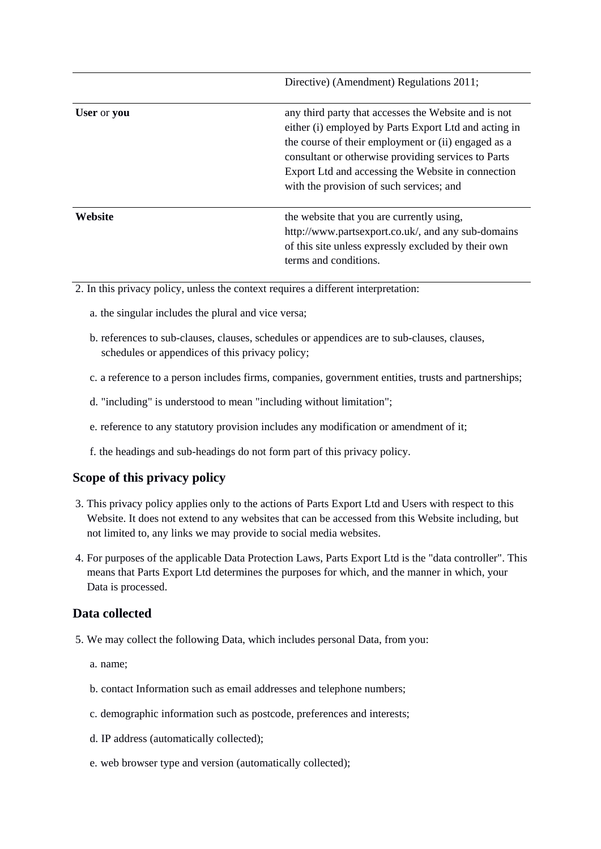|             | Directive) (Amendment) Regulations 2011;                                                                                                                                                                                                                                                                                      |
|-------------|-------------------------------------------------------------------------------------------------------------------------------------------------------------------------------------------------------------------------------------------------------------------------------------------------------------------------------|
| User or you | any third party that accesses the Website and is not<br>either (i) employed by Parts Export Ltd and acting in<br>the course of their employment or (ii) engaged as a<br>consultant or otherwise providing services to Parts<br>Export Ltd and accessing the Website in connection<br>with the provision of such services; and |
| Website     | the website that you are currently using,<br>http://www.partsexport.co.uk/, and any sub-domains<br>of this site unless expressly excluded by their own<br>terms and conditions.                                                                                                                                               |

2. In this privacy policy, unless the context requires a different interpretation:

- a. the singular includes the plural and vice versa;
- b. references to sub-clauses, clauses, schedules or appendices are to sub-clauses, clauses, schedules or appendices of this privacy policy;
- c. a reference to a person includes firms, companies, government entities, trusts and partnerships;
- d. "including" is understood to mean "including without limitation";
- e. reference to any statutory provision includes any modification or amendment of it;
- f. the headings and sub-headings do not form part of this privacy policy.

#### **Scope of this privacy policy**

- 3. This privacy policy applies only to the actions of Parts Export Ltd and Users with respect to this Website. It does not extend to any websites that can be accessed from this Website including, but not limited to, any links we may provide to social media websites.
- 4. For purposes of the applicable Data Protection Laws, Parts Export Ltd is the "data controller". This means that Parts Export Ltd determines the purposes for which, and the manner in which, your Data is processed.

#### **Data collected**

- 5. We may collect the following Data, which includes personal Data, from you:
	- a. name;
	- b. contact Information such as email addresses and telephone numbers;
	- c. demographic information such as postcode, preferences and interests;
	- d. IP address (automatically collected);
	- e. web browser type and version (automatically collected);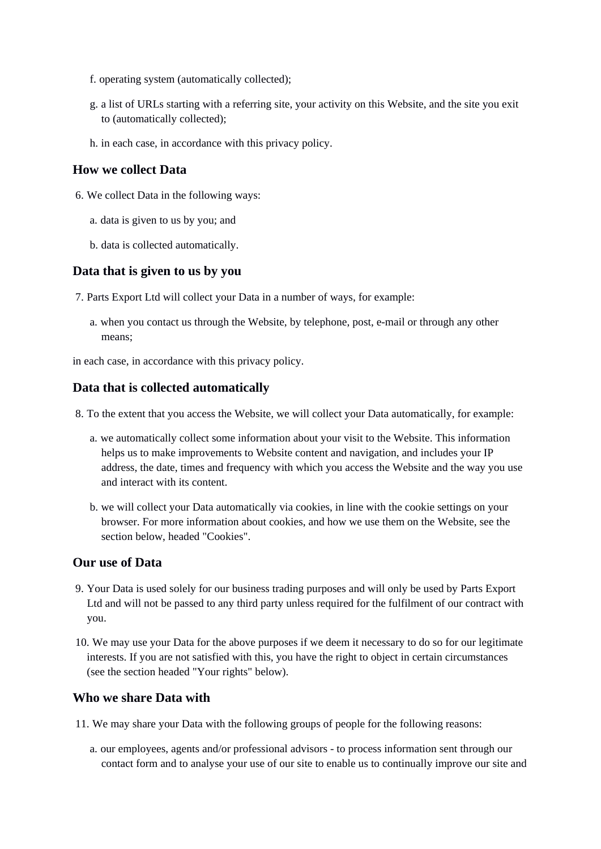- f. operating system (automatically collected);
- g. a list of URLs starting with a referring site, your activity on this Website, and the site you exit to (automatically collected);
- h. in each case, in accordance with this privacy policy.

# **How we collect Data**

- 6. We collect Data in the following ways:
	- a. data is given to us by you; and
	- b. data is collected automatically.

#### **Data that is given to us by you**

7. Parts Export Ltd will collect your Data in a number of ways, for example:

a. when you contact us through the Website, by telephone, post, e-mail or through any other means;

in each case, in accordance with this privacy policy.

#### **Data that is collected automatically**

- 8. To the extent that you access the Website, we will collect your Data automatically, for example:
	- a. we automatically collect some information about your visit to the Website. This information helps us to make improvements to Website content and navigation, and includes your IP address, the date, times and frequency with which you access the Website and the way you use and interact with its content.
	- b. we will collect your Data automatically via cookies, in line with the cookie settings on your browser. For more information about cookies, and how we use them on the Website, see the section below, headed "Cookies".

#### **Our use of Data**

- 9. Your Data is used solely for our business trading purposes and will only be used by Parts Export Ltd and will not be passed to any third party unless required for the fulfilment of our contract with you.
- 10. We may use your Data for the above purposes if we deem it necessary to do so for our legitimate interests. If you are not satisfied with this, you have the right to object in certain circumstances (see the section headed "Your rights" below).

#### **Who we share Data with**

- 11. We may share your Data with the following groups of people for the following reasons:
	- a. our employees, agents and/or professional advisors to process information sent through our contact form and to analyse your use of our site to enable us to continually improve our site and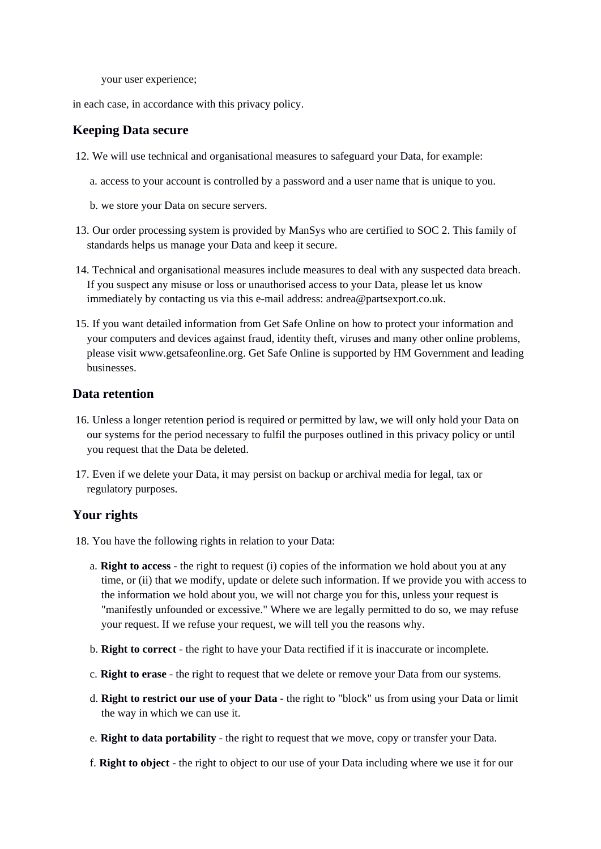your user experience;

in each case, in accordance with this privacy policy.

# **Keeping Data secure**

- 12. We will use technical and organisational measures to safeguard your Data, for example:
	- a. access to your account is controlled by a password and a user name that is unique to you.
	- b. we store your Data on secure servers.
- 13. Our order processing system is provided by ManSys who are certified to SOC 2. This family of standards helps us manage your Data and keep it secure.
- 14. Technical and organisational measures include measures to deal with any suspected data breach. If you suspect any misuse or loss or unauthorised access to your Data, please let us know immediately by contacting us via this e-mail address: andrea@partsexport.co.uk.
- 15. If you want detailed information from Get Safe Online on how to protect your information and your computers and devices against fraud, identity theft, viruses and many other online problems, please visit www.getsafeonline.org. Get Safe Online is supported by HM Government and leading businesses.

#### **Data retention**

- 16. Unless a longer retention period is required or permitted by law, we will only hold your Data on our systems for the period necessary to fulfil the purposes outlined in this privacy policy or until you request that the Data be deleted.
- 17. Even if we delete your Data, it may persist on backup or archival media for legal, tax or regulatory purposes.

#### **Your rights**

18. You have the following rights in relation to your Data:

- a. **Right to access** the right to request (i) copies of the information we hold about you at any time, or (ii) that we modify, update or delete such information. If we provide you with access to the information we hold about you, we will not charge you for this, unless your request is "manifestly unfounded or excessive." Where we are legally permitted to do so, we may refuse your request. If we refuse your request, we will tell you the reasons why.
- b. **Right to correct** the right to have your Data rectified if it is inaccurate or incomplete.
- c. **Right to erase** the right to request that we delete or remove your Data from our systems.
- d. **Right to restrict our use of your Data** the right to "block" us from using your Data or limit the way in which we can use it.
- e. **Right to data portability** the right to request that we move, copy or transfer your Data.
- f. **Right to object** the right to object to our use of your Data including where we use it for our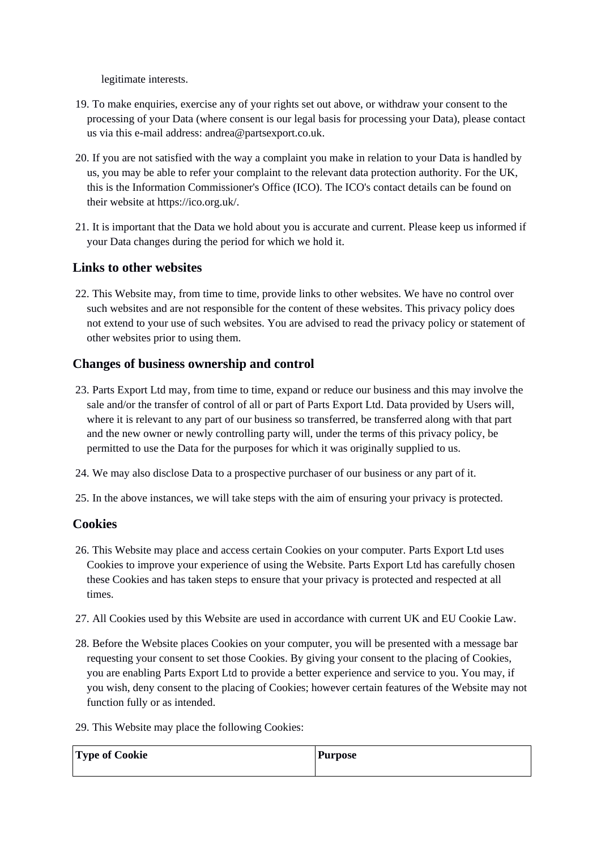legitimate interests.

- 19. To make enquiries, exercise any of your rights set out above, or withdraw your consent to the processing of your Data (where consent is our legal basis for processing your Data), please contact us via this e-mail address: andrea@partsexport.co.uk.
- 20. If you are not satisfied with the way a complaint you make in relation to your Data is handled by us, you may be able to refer your complaint to the relevant data protection authority. For the UK, this is the Information Commissioner's Office (ICO). The ICO's contact details can be found on their website at https://ico.org.uk/.
- 21. It is important that the Data we hold about you is accurate and current. Please keep us informed if your Data changes during the period for which we hold it.

#### **Links to other websites**

22. This Website may, from time to time, provide links to other websites. We have no control over such websites and are not responsible for the content of these websites. This privacy policy does not extend to your use of such websites. You are advised to read the privacy policy or statement of other websites prior to using them.

#### **Changes of business ownership and control**

- 23. Parts Export Ltd may, from time to time, expand or reduce our business and this may involve the sale and/or the transfer of control of all or part of Parts Export Ltd. Data provided by Users will, where it is relevant to any part of our business so transferred, be transferred along with that part and the new owner or newly controlling party will, under the terms of this privacy policy, be permitted to use the Data for the purposes for which it was originally supplied to us.
- 24. We may also disclose Data to a prospective purchaser of our business or any part of it.
- 25. In the above instances, we will take steps with the aim of ensuring your privacy is protected.

#### **Cookies**

- 26. This Website may place and access certain Cookies on your computer. Parts Export Ltd uses Cookies to improve your experience of using the Website. Parts Export Ltd has carefully chosen these Cookies and has taken steps to ensure that your privacy is protected and respected at all times.
- 27. All Cookies used by this Website are used in accordance with current UK and EU Cookie Law.
- 28. Before the Website places Cookies on your computer, you will be presented with a message bar requesting your consent to set those Cookies. By giving your consent to the placing of Cookies, you are enabling Parts Export Ltd to provide a better experience and service to you. You may, if you wish, deny consent to the placing of Cookies; however certain features of the Website may not function fully or as intended.
- 29. This Website may place the following Cookies:

| <b>Type of Cookie</b> | <b>Purpose</b> |
|-----------------------|----------------|
|                       |                |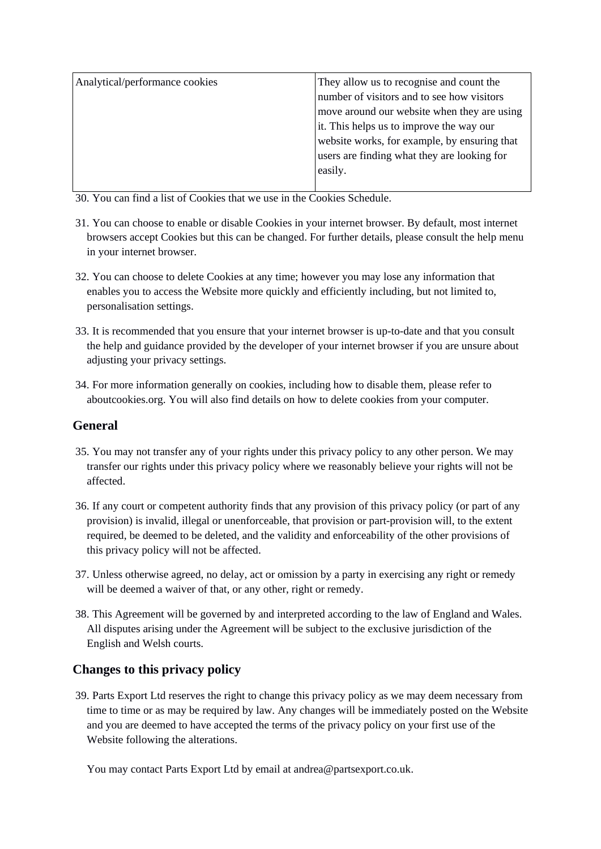| Analytical/performance cookies | They allow us to recognise and count the     |
|--------------------------------|----------------------------------------------|
|                                | number of visitors and to see how visitors   |
|                                | move around our website when they are using  |
|                                | it. This helps us to improve the way our     |
|                                | website works, for example, by ensuring that |
|                                | users are finding what they are looking for  |
|                                | easily.                                      |
|                                |                                              |

30. You can find a list of Cookies that we use in the Cookies Schedule.

- 31. You can choose to enable or disable Cookies in your internet browser. By default, most internet browsers accept Cookies but this can be changed. For further details, please consult the help menu in your internet browser.
- 32. You can choose to delete Cookies at any time; however you may lose any information that enables you to access the Website more quickly and efficiently including, but not limited to, personalisation settings.
- 33. It is recommended that you ensure that your internet browser is up-to-date and that you consult the help and guidance provided by the developer of your internet browser if you are unsure about adjusting your privacy settings.
- 34. For more information generally on cookies, including how to disable them, please refer to aboutcookies.org. You will also find details on how to delete cookies from your computer.

## **General**

- 35. You may not transfer any of your rights under this privacy policy to any other person. We may transfer our rights under this privacy policy where we reasonably believe your rights will not be affected.
- 36. If any court or competent authority finds that any provision of this privacy policy (or part of any provision) is invalid, illegal or unenforceable, that provision or part-provision will, to the extent required, be deemed to be deleted, and the validity and enforceability of the other provisions of this privacy policy will not be affected.
- 37. Unless otherwise agreed, no delay, act or omission by a party in exercising any right or remedy will be deemed a waiver of that, or any other, right or remedy.
- 38. This Agreement will be governed by and interpreted according to the law of England and Wales. All disputes arising under the Agreement will be subject to the exclusive jurisdiction of the English and Welsh courts.

# **Changes to this privacy policy**

39. Parts Export Ltd reserves the right to change this privacy policy as we may deem necessary from time to time or as may be required by law. Any changes will be immediately posted on the Website and you are deemed to have accepted the terms of the privacy policy on your first use of the Website following the alterations.

You may contact Parts Export Ltd by email at andrea@partsexport.co.uk.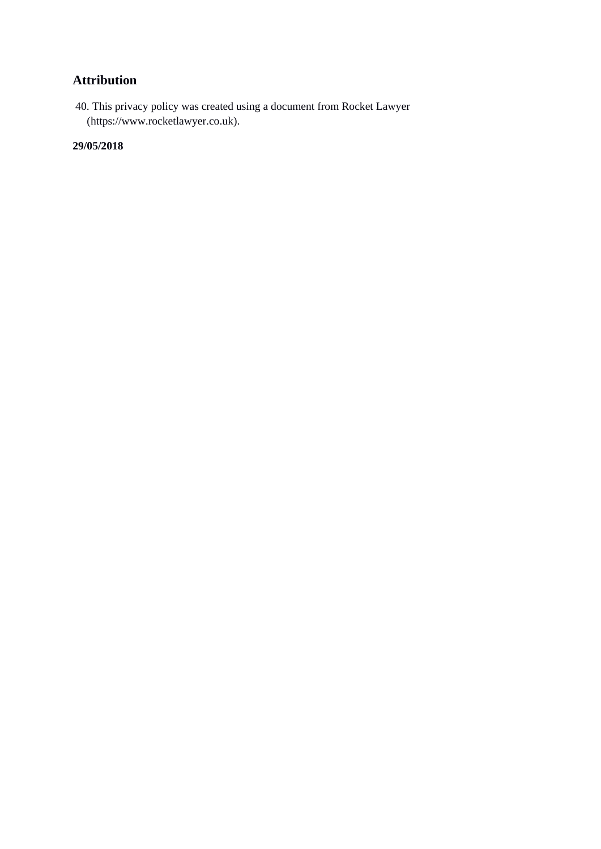# **Attribution**

40. This privacy policy was created using a document from Rocket Lawyer (https://www.rocketlawyer.co.uk).

#### **29/05/2018**